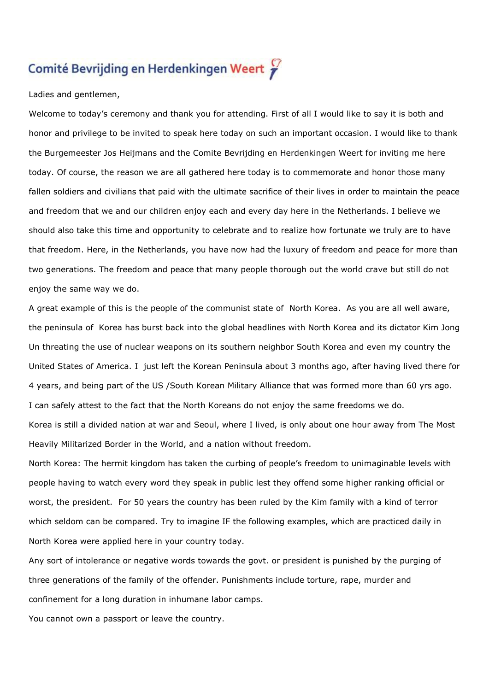## Comité Bevrijding en Herdenkingen Weert

Ladies and gentlemen,

Welcome to today's ceremony and thank you for attending. First of all I would like to say it is both and honor and privilege to be invited to speak here today on such an important occasion. I would like to thank the Burgemeester Jos Heijmans and the Comite Bevrijding en Herdenkingen Weert for inviting me here today. Of course, the reason we are all gathered here today is to commemorate and honor those many fallen soldiers and civilians that paid with the ultimate sacrifice of their lives in order to maintain the peace and freedom that we and our children enjoy each and every day here in the Netherlands. I believe we should also take this time and opportunity to celebrate and to realize how fortunate we truly are to have that freedom. Here, in the Netherlands, you have now had the luxury of freedom and peace for more than two generations. The freedom and peace that many people thorough out the world crave but still do not enjoy the same way we do.

A great example of this is the people of the communist state of North Korea. As you are all well aware, the peninsula of Korea has burst back into the global headlines with North Korea and its dictator Kim Jong Un threating the use of nuclear weapons on its southern neighbor South Korea and even my country the United States of America. I just left the Korean Peninsula about 3 months ago, after having lived there for 4 years, and being part of the US /South Korean Military Alliance that was formed more than 60 yrs ago. I can safely attest to the fact that the North Koreans do not enjoy the same freedoms we do.

Korea is still a divided nation at war and Seoul, where I lived, is only about one hour away from The Most Heavily Militarized Border in the World, and a nation without freedom.

North Korea: The hermit kingdom has taken the curbing of people's freedom to unimaginable levels with people having to watch every word they speak in public lest they offend some higher ranking official or worst, the president. For 50 years the country has been ruled by the Kim family with a kind of terror which seldom can be compared. Try to imagine IF the following examples, which are practiced daily in North Korea were applied here in your country today.

Any sort of intolerance or negative words towards the govt. or president is punished by the purging of three generations of the family of the offender. Punishments include torture, rape, murder and confinement for a long duration in inhumane labor camps.

You cannot own a passport or leave the country.